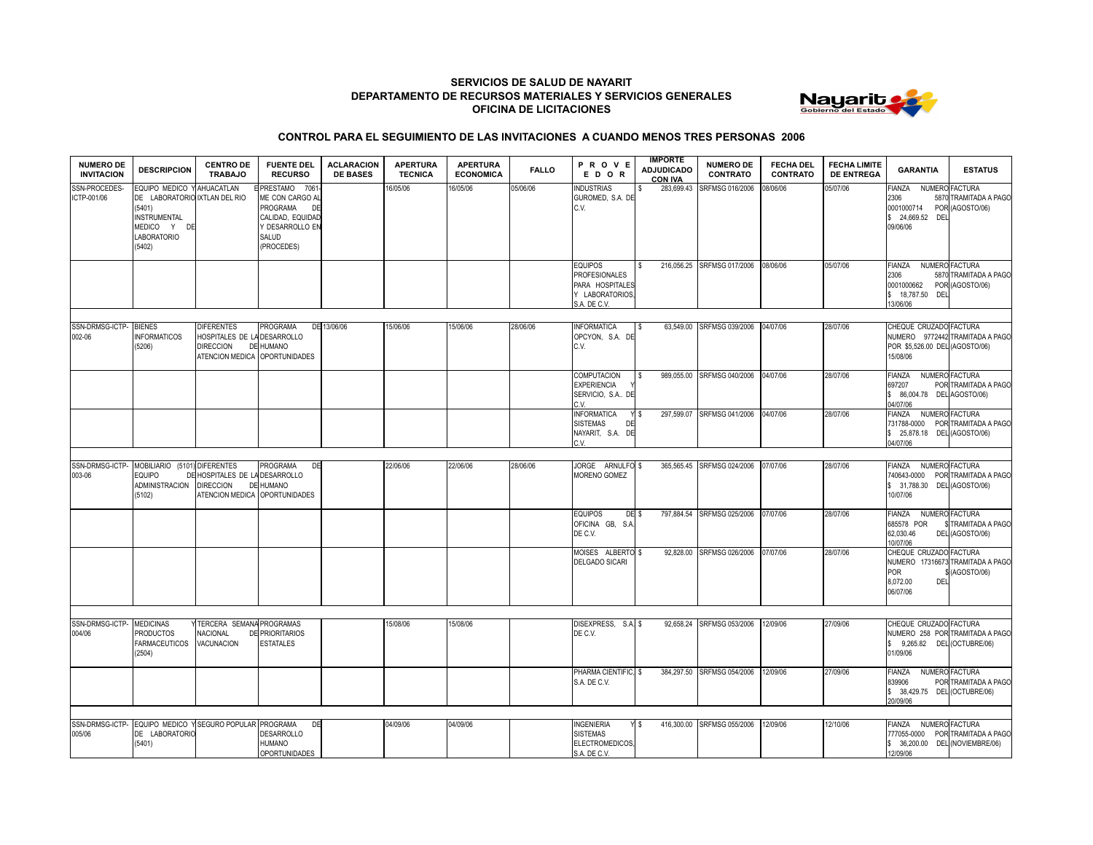## **SERVICIOS DE SALUD DE NAYARIT DEPARTAMENTO DE RECURSOS MATERIALES Y SERVICIOS GENERALES OFICINA DE LICITACIONES**



## **CONTROL PARA EL SEGUIMIENTO DE LAS INVITACIONES A CUANDO MENOS TRES PERSONAS 2006**

| <b>NUMERO DE</b><br><b>INVITACION</b> | <b>DESCRIPCION</b>                                                                                                                  | <b>CENTRO DE</b><br><b>TRABAJO</b>                                                                    | <b>FUENTE DEL</b><br><b>RECURSO</b>                                                                                | <b>ACLARACION</b><br><b>DE BASES</b> | <b>APERTURA</b><br><b>TECNICA</b> | <b>APERTURA</b><br><b>ECONOMICA</b> | <b>FALLO</b> | PROVE<br>EDOR                                                                                | <b>IMPORTE</b><br><b>ADJUDICADO</b><br><b>CON IVA</b> | <b>NUMERO DE</b><br><b>CONTRATO</b> | <b>FECHA DEL</b><br><b>CONTRATO</b> | <b>FECHA LIMITE</b><br><b>DE ENTREGA</b> | <b>GARANTIA</b>                                                              | <b>ESTATUS</b>                                             |
|---------------------------------------|-------------------------------------------------------------------------------------------------------------------------------------|-------------------------------------------------------------------------------------------------------|--------------------------------------------------------------------------------------------------------------------|--------------------------------------|-----------------------------------|-------------------------------------|--------------|----------------------------------------------------------------------------------------------|-------------------------------------------------------|-------------------------------------|-------------------------------------|------------------------------------------|------------------------------------------------------------------------------|------------------------------------------------------------|
| SSN-PROCEDES-<br>ICTP-001/06          | EQUIPO MEDICO Y AHUACATLAN<br>DE LABORATORIO IXTLAN DEL RIO<br>(5401)<br><b>NSTRUMENTAL</b><br>MEDICO Y DE<br>LABORATORIO<br>(5402) |                                                                                                       | E PRESTAMO 7061<br>ME CON CARGO AL<br>PROGRAMA<br>DE<br>CALIDAD, EQUIDAD<br>Y DESARROLLO EN<br>SALUD<br>(PROCEDES) |                                      | 16/05/06                          | 16/05/06                            | 05/06/06     | <b>INDUSTRIAS</b><br>GUROMED, S.A. DE<br>C.V.                                                | 283,699.43                                            | SRFMSG 016/2006                     | 08/06/06                            | 05/07/06                                 | FIANZA<br>2306<br>0001000714 POR (AGOSTO/06)<br>\$ 24,669.52 DEL<br>09/06/06 | NUMERO FACTURA<br>5870 TRAMITADA A PAGO                    |
|                                       |                                                                                                                                     |                                                                                                       |                                                                                                                    |                                      |                                   |                                     |              | <b>EQUIPOS</b><br><b>PROFESIONALES</b><br>PARA HOSPITALES<br>Y LABORATORIOS,<br>S.A. DE C.V. |                                                       | 216.056.25 SRFMSG 017/2006          | 08/06/06                            | 05/07/06                                 | FIANZA<br>2306<br>0001000662<br>\$ 18,787.50 DEL<br>13/06/06                 | NUMERO FACTURA<br>5870 TRAMITADA A PAGO<br>POR (AGOSTO/06) |
| SSN-DRMSG-ICTP-<br>002-06             | <b>BIENES</b><br><b>NFORMATICOS</b><br>5206)                                                                                        | <b>DIFERENTES</b><br>HOSPITALES DE LA DESARROLLO<br><b>DIRECCION</b><br>ATENCION MEDICA OPORTUNIDADES | <b>PROGRAMA</b><br>DE HUMANO                                                                                       | DE 13/06/06                          | 15/06/06                          | 15/06/06                            | 28/06/06     | <b>INFORMATICA</b><br>OPCYON, S.A. DE<br>C.V.                                                | 63,549.00                                             | SRFMSG 039/2006                     | 04/07/06                            | 28/07/06                                 | CHEQUE CRUZADO FACTURA<br>POR \$5,526.00 DEL (AGOSTO/06)<br>15/08/06         | NUMERO 9772442 TRAMITADA A PAGO                            |
|                                       |                                                                                                                                     |                                                                                                       |                                                                                                                    |                                      |                                   |                                     |              | COMPUTACION<br><b>EXPERIENCIA</b><br>SERVICIO, S.A., DE<br>C.V.                              | 989,055.00                                            | SRFMSG 040/2006                     | 04/07/06                            | 28/07/06                                 | FIANZA<br>697207<br>\$ 86,004.78 DEL AGOSTO/06)<br>04/07/06                  | NUMERO FACTURA<br>POR TRAMITADA A PAGO                     |
|                                       |                                                                                                                                     |                                                                                                       |                                                                                                                    |                                      |                                   |                                     |              | <b>INFORMATICA</b><br><b>SISTEMAS</b><br>DE<br>NAYARIT, S.A. DE<br>C.V.                      | 297,599.07                                            | SRFMSG 041/2006                     | 04/07/06                            | 28/07/06                                 | FIANZA<br>\$ 25,878.18 DEL (AGOSTO/06)<br>04/07/06                           | NUMERO FACTURA<br>731788-0000 POR TRAMITADA A PAGO         |
| SSN-DRMSG-ICTP-<br>003-06             | MOBILIARIO (5101) DIFERENTES<br><b>EQUIPO</b><br>ADMINISTRACION DIRECCION<br>(5102)                                                 | DE HOSPITALES DE LA DESARROLLO<br>ATENCION MEDICA OPORTUNIDADES                                       | <b>PROGRAMA</b><br>DE<br>DE HUMANO                                                                                 |                                      | 22/06/06                          | 22/06/06                            | 28/06/06     | JORGE ARNULFO \$<br>MORENO GOMEZ                                                             | 365.565.45                                            | SRFMSG 024/2006 07/07/06            |                                     | 28/07/06                                 | <b>HANZA</b><br>\$ 31,788.30 DEL (AGOSTO/06)<br>10/07/06                     | NUMERO FACTURA<br>740643-0000 POR TRAMITADA A PAGO         |
|                                       |                                                                                                                                     |                                                                                                       |                                                                                                                    |                                      |                                   |                                     |              | <b>EQUIPOS</b><br>OFICINA GB, S.A.<br>DE C.V.                                                | DE <sub>\$</sub>                                      | 797,884.54 SRFMSG 025/2006 07/07/06 |                                     | 28/07/06                                 | <b>FIANZA</b><br>685578 POR<br>62,030.46<br>10/07/06                         | NUMERO FACTURA<br>TRAMITADA A PAGO<br>DEL (AGOSTO/06)      |
|                                       |                                                                                                                                     |                                                                                                       |                                                                                                                    |                                      |                                   |                                     |              | MOISES ALBERTO \$<br><b>DELGADO SICARI</b>                                                   |                                                       | 92,828.00 SRFMSG 026/2006           | 07/07/06                            | 28/07/06                                 | CHEQUE CRUZADO FACTURA<br>POR<br>8,072.00<br>DEL<br>06/07/06                 | NUMERO 17316673 TRAMITADA A PAGO<br>(AGOSTO/06)            |
| SSN-DRMSG-ICTP-<br>004/06             | <b>MEDICINAS</b><br><b>PRODUCTOS</b><br><b>FARMACEUTICOS</b><br>2504)                                                               | TERCERA SEMANA PROGRAMAS<br>NACIONAL<br>VACUNACION                                                    | <b>DE PRIORITARIOS</b><br><b>ESTATALES</b>                                                                         |                                      | 15/08/06                          | 15/08/06                            |              | DISEXPRESS, S.A. \$<br>DE C.V.                                                               | 92,658.24                                             | SRFMSG 053/2006                     | 12/09/06                            | 27/09/06                                 | CHEQUE CRUZADO FACTURA<br>\$ 9,265.82 DEL (OCTUBRE/06)<br>01/09/06           | NUMERO 258 POR TRAMITADA A PAGO                            |
|                                       |                                                                                                                                     |                                                                                                       |                                                                                                                    |                                      |                                   |                                     |              | PHARMA CIENTIFIC. \$<br>S.A. DE C.V.                                                         |                                                       | 384,297.50 SRFMSG 054/2006          | 12/09/06                            | 27/09/06                                 | <b>FIANZA</b><br>839906<br>\$ 38,429.75 DEL (OCTUBRE/06)<br>20/09/06         | NUMERO FACTURA<br>POR TRAMITADA A PAGO                     |
| SSN-DRMSG-ICTP-<br>005/06             | DE LABORATORIO<br>(5401)                                                                                                            | EQUIPO MEDICO Y SEGURO POPULAR PROGRAMA                                                               | DE<br><b>DESARROLLO</b><br>HUMANO<br><b>OPORTUNIDADES</b>                                                          |                                      | 04/09/06                          | 04/09/06                            |              | <b>INGENIERIA</b><br><b>SISTEMAS</b><br>ELECTROMEDICOS,<br>S.A. DE C.V.                      |                                                       | 416.300.00 SRFMSG 055/2006          | 12/09/06                            | 12/10/06                                 | FIANZA<br>777055-0000<br>\$ 36,200.00 DEL (NOVIEMBRE/06)<br>12/09/06         | NUMERO FACTURA<br>POR TRAMITADA A PAGO                     |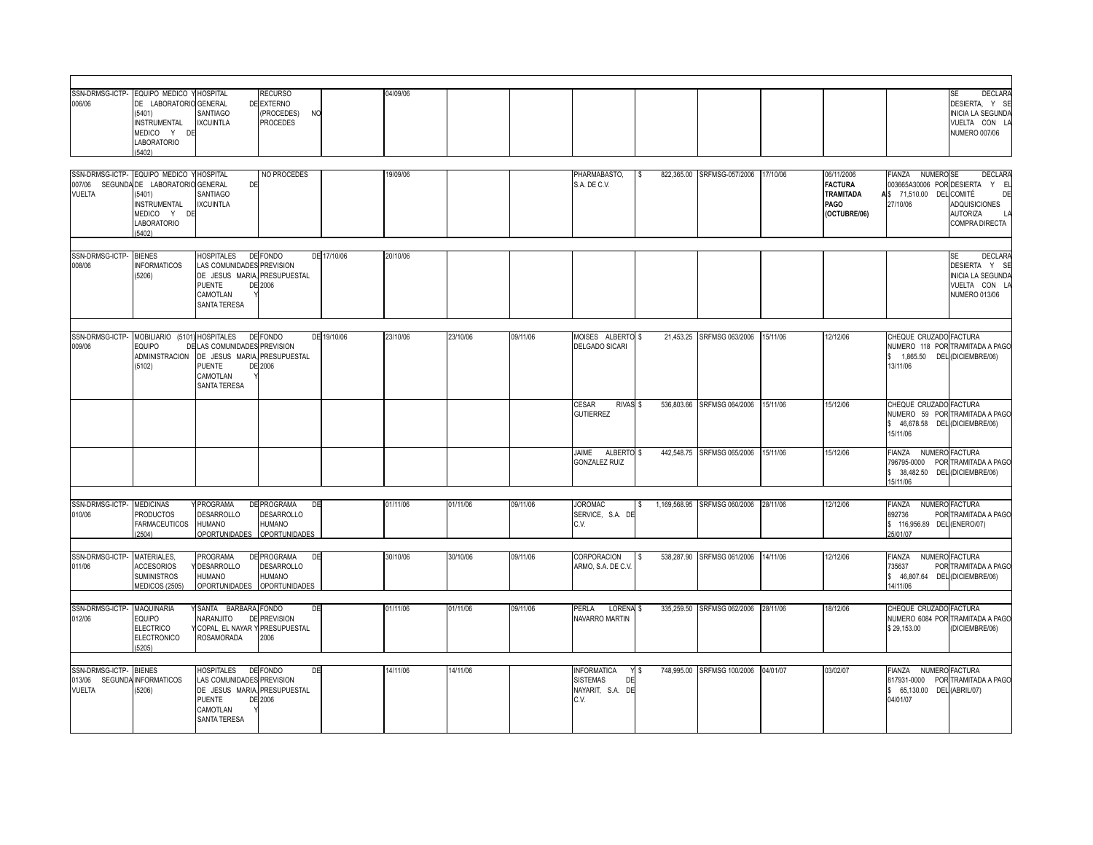|                             | SSN-DRMSG-ICTP- EQUIPO MEDICO Y HOSPITAL             |                                | <b>RECURSO</b>              |             | 04/09/06 |          |          |                              |     |                                       |          |                  |                                 | <b>DECLARA</b><br>SF             |
|-----------------------------|------------------------------------------------------|--------------------------------|-----------------------------|-------------|----------|----------|----------|------------------------------|-----|---------------------------------------|----------|------------------|---------------------------------|----------------------------------|
| 006/06                      | DE LABORATORIO GENERAL                               |                                | DE EXTERNO                  |             |          |          |          |                              |     |                                       |          |                  |                                 | DESIERTA, Y SE                   |
|                             | (5401)                                               | SANTIAGO                       | (PROCEDES)<br><sub>NO</sub> |             |          |          |          |                              |     |                                       |          |                  |                                 | <b>INICIA LA SEGUNDA</b>         |
|                             | <b>INSTRUMENTAL</b>                                  | <b>IXCUINTLA</b>               | <b>PROCEDES</b>             |             |          |          |          |                              |     |                                       |          |                  |                                 | VUELTA CON LA                    |
|                             | MEDICO Y DE                                          |                                |                             |             |          |          |          |                              |     |                                       |          |                  |                                 | <b>NUMERO 007/06</b>             |
|                             | LABORATORIO                                          |                                |                             |             |          |          |          |                              |     |                                       |          |                  |                                 |                                  |
|                             | 5402)                                                |                                |                             |             |          |          |          |                              |     |                                       |          |                  |                                 |                                  |
|                             |                                                      |                                |                             |             |          |          |          |                              |     |                                       |          |                  |                                 |                                  |
|                             | SSN-DRMSG-ICTP- EQUIPO MEDICO \                      | HOSPITAL                       | NO PROCEDES                 |             | 19/09/06 |          |          | PHARMABASTO,                 |     | 822,365.00 SRFMSG-057/2006 17/10/06   |          | 06/11/2006       | FIANZA NUMERO SE                | <b>DECLARA</b>                   |
| 007/06                      | SEGUNDA DE LABORATORIO                               | <b>GENERAL</b><br>DE           |                             |             |          |          |          | S.A. DE C.V.                 |     |                                       |          | <b>FACTURA</b>   |                                 | 003665A30006 POR DESIERTA Y EL   |
| <b>VUELTA</b>               | (5401)                                               | SANTIAGO                       |                             |             |          |          |          |                              |     |                                       |          | <b>TRAMITADA</b> | A \$ 71,510.00 DEL COMITÉ       | DE                               |
|                             | <b>INSTRUMENTAL</b>                                  | <b>IXCUINTLA</b>               |                             |             |          |          |          |                              |     |                                       |          | PAGO             | 27/10/06                        | ADQUISICIONES                    |
|                             | MEDICO Y DE                                          |                                |                             |             |          |          |          |                              |     |                                       |          | (OCTUBRE/06)     |                                 | <b>AUTORIZA</b><br>LA            |
|                             | LABORATORIO                                          |                                |                             |             |          |          |          |                              |     |                                       |          |                  |                                 | <b>COMPRA DIRECTA</b>            |
|                             | (5402)                                               |                                |                             |             |          |          |          |                              |     |                                       |          |                  |                                 |                                  |
|                             |                                                      |                                |                             |             |          |          |          |                              |     |                                       |          |                  |                                 |                                  |
|                             |                                                      | <b>HOSPITALES</b>              |                             | DE 17/10/06 | 20/10/06 |          |          |                              |     |                                       |          |                  |                                 | <b>DECLARA</b><br><b>SE</b>      |
| SSN-DRMSG-ICTP- BIENES      |                                                      |                                | DE FONDO                    |             |          |          |          |                              |     |                                       |          |                  |                                 |                                  |
| 008/06                      | <b>INFORMATICOS</b>                                  | LAS COMUNIDADES PREVISION      |                             |             |          |          |          |                              |     |                                       |          |                  |                                 | DESIERTA Y SE                    |
|                             | (5206)                                               | DE JESUS MARIA, PRESUPUESTAL   |                             |             |          |          |          |                              |     |                                       |          |                  |                                 | <b>INICIA LA SEGUNDA</b>         |
|                             |                                                      | PUENTE                         | DE 2006                     |             |          |          |          |                              |     |                                       |          |                  |                                 | VUELTA CON LA                    |
|                             |                                                      | CAMOTLAN                       |                             |             |          |          |          |                              |     |                                       |          |                  |                                 | <b>NUMERO 013/06</b>             |
|                             |                                                      | <b>SANTA TERESA</b>            |                             |             |          |          |          |                              |     |                                       |          |                  |                                 |                                  |
|                             |                                                      |                                |                             |             |          |          |          |                              |     |                                       |          |                  |                                 |                                  |
|                             |                                                      |                                |                             |             |          |          |          |                              |     |                                       |          |                  |                                 |                                  |
|                             | SSN-DRMSG-ICTP-MOBILIARIO (5101) HOSPITALES DE FONDO |                                |                             | DE 19/10/06 | 23/10/06 | 23/10/06 | 09/11/06 | MOISES ALBERTO \$            |     | 21,453.25 SRFMSG 063/2006 15/11/06    |          | 12/12/06         | CHEQUE CRUZADO FACTURA          |                                  |
| 009/06                      | EQUIPO                                               | DE LAS COMUNIDADES PREVISION   |                             |             |          |          |          | <b>DELGADO SICARI</b>        |     |                                       |          |                  |                                 | NUMERO 118 POR TRAMITADA A PAGO  |
|                             | <b>ADMINISTRACION</b>                                | DE JESUS MARIA, PRESUPUESTAL   |                             |             |          |          |          |                              |     |                                       |          |                  | \$1,865.50 DEL (DICIEMBRE/06)   |                                  |
|                             | (5102)                                               | <b>PUENTE</b>                  | DE 2006                     |             |          |          |          |                              |     |                                       |          |                  | 13/11/06                        |                                  |
|                             |                                                      | CAMOTLAN                       |                             |             |          |          |          |                              |     |                                       |          |                  |                                 |                                  |
|                             |                                                      | SANTA TERESA                   |                             |             |          |          |          |                              |     |                                       |          |                  |                                 |                                  |
|                             |                                                      |                                |                             |             |          |          |          |                              |     |                                       |          |                  |                                 |                                  |
|                             |                                                      |                                |                             |             |          |          |          | CESAR<br>RIVAS <sub>\$</sub> |     | 536,803.66 SRFMSG 064/2006 15/11/06   |          | 15/12/06         | CHEQUE CRUZADO FACTURA          |                                  |
|                             |                                                      |                                |                             |             |          |          |          | <b>GUTIERREZ</b>             |     |                                       |          |                  |                                 | NUMERO 59 POR TRAMITADA A PAGO   |
|                             |                                                      |                                |                             |             |          |          |          |                              |     |                                       |          |                  | \$46,678.58 DEL (DICIEMBRE/06)  |                                  |
|                             |                                                      |                                |                             |             |          |          |          |                              |     |                                       |          |                  | 15/11/06                        |                                  |
|                             |                                                      |                                |                             |             |          |          |          |                              |     |                                       |          |                  |                                 |                                  |
|                             |                                                      |                                |                             |             |          |          |          | JAIME<br>ALBERTO \$          |     | 442.548.75 SRFMSG 065/2006 15/11/06   |          | 15/12/06         | <b>FIANZA</b>                   | NUMERO FACTURA                   |
|                             |                                                      |                                |                             |             |          |          |          | <b>GONZALEZ RUIZ</b>         |     |                                       |          |                  |                                 | 796795-0000 POR TRAMITADA A PAGO |
|                             |                                                      |                                |                             |             |          |          |          |                              |     |                                       |          |                  | \$ 38,482.50 DEL (DICIEMBRE/06) |                                  |
|                             |                                                      |                                |                             |             |          |          |          |                              |     |                                       |          |                  | 15/11/06                        |                                  |
|                             |                                                      |                                |                             |             |          |          |          |                              |     |                                       |          |                  |                                 |                                  |
| SSN-DRMSG-ICTP- MEDICINAS   |                                                      | <b>PROGRAMA</b>                | DE PROGRAMA<br>DE           |             | 01/11/06 | 01/11/06 | 09/11/06 | <b>JOROMAC</b>               |     | 1,169,568.95 SRFMSG 060/2006 28/11/06 |          | 12/12/06         | <b>FIANZA</b>                   | NUMERO FACTURA                   |
| 010/06                      | <b>PRODUCTOS</b>                                     | DESARROLLO                     | <b>DESARROLLO</b>           |             |          |          |          | SERVICE, S.A. DE             |     |                                       |          |                  | 892736                          | POR TRAMITADA A PAGO             |
|                             | <b>FARMACEUTICOS</b>                                 | <b>OIANUH</b>                  | HUMANO                      |             |          |          |          | C.V.                         |     |                                       |          |                  | \$116,956.89 DEL (ENERO/07)     |                                  |
|                             | (2504)                                               | <b>OPORTUNIDADES</b>           | <b>OPORTUNIDADES</b>        |             |          |          |          |                              |     |                                       |          |                  | 25/01/07                        |                                  |
|                             |                                                      |                                |                             |             |          |          |          |                              |     |                                       |          |                  |                                 |                                  |
| SSN-DRMSG-ICTP- MATERIALES, |                                                      | <b>PROGRAMA</b>                | <b>DE PROGRAMA</b><br>DE    |             | 30/10/06 | 30/10/06 | 09/11/06 | CORPORACION                  |     | 538,287.90 SRFMSG 061/2006 14/11/06   |          | 12/12/06         | FIANZA                          | NUMERO FACTURA                   |
| 011/06                      | <b>ACCESORIOS</b>                                    | <b>DESARROLLO</b>              | <b>DESARROLLO</b>           |             |          |          |          | ARMO, S.A. DE C.V.           |     |                                       |          |                  | 735637                          | POR TRAMITADA A PAGO             |
|                             | <b>SUMINISTROS</b>                                   | <b>OVANUH</b>                  | <b>HUMANO</b>               |             |          |          |          |                              |     |                                       |          |                  | \$46,807.64 DEL (DICIEMBRE/06)  |                                  |
|                             |                                                      |                                | <b>OPORTUNIDADES</b>        |             |          |          |          |                              |     |                                       |          |                  | 14/11/06                        |                                  |
|                             | MEDICOS (2505)                                       | <b>OPORTUNIDADES</b>           |                             |             |          |          |          |                              |     |                                       |          |                  |                                 |                                  |
|                             |                                                      |                                |                             |             |          |          |          |                              |     |                                       |          |                  |                                 |                                  |
| SSN-DRMSG-ICTP- MAQUINARIA  |                                                      | SANTA BARBARA, FONDO           | DE                          |             | 01/11/06 | 01/11/06 | 09/11/06 | PERLA<br>LORENA \$           |     | 335,259.50 SRFMSG 062/2006 28/11/06   |          | 18/12/06         | CHEQUE CRUZADO FACTURA          |                                  |
| 012/06                      | <b>EQUIPO</b>                                        | <b>NARANJITO</b>               | DE PREVISION                |             |          |          |          | <b>NAVARRO MARTIN</b>        |     |                                       |          |                  |                                 | NUMERO 6084 POR TRAMITADA A PAGO |
|                             | <b>ELECTRICO</b>                                     | COPAL, EL NAYAR Y PRESUPUESTAL |                             |             |          |          |          |                              |     |                                       |          |                  | \$29,153.00                     | (DICIEMBRE/06)                   |
|                             | <b>ELECTRONICO</b>                                   | <b>ROSAMORADA</b>              | 2006                        |             |          |          |          |                              |     |                                       |          |                  |                                 |                                  |
|                             | (5205)                                               |                                |                             |             |          |          |          |                              |     |                                       |          |                  |                                 |                                  |
|                             |                                                      |                                |                             |             |          |          |          |                              |     |                                       |          |                  |                                 |                                  |
| SSN-DRMSG-ICTP- BIENES      |                                                      | HOSPITALES                     | DE FONDO<br>DE              |             | 14/11/06 | 14/11/06 |          | <b>INFORMATICA</b>           | Y\$ | 748,995.00 SRFMSG 100/2006            | 04/01/07 | 03/02/07         | FIANZA NUMERO FACTURA           |                                  |
| 013/06 SEGUNDA INFORMATICOS |                                                      | LAS COMUNIDADES PREVISION      |                             |             |          |          |          | <b>SISTEMAS</b><br>DE        |     |                                       |          |                  |                                 | 817931-0000 POR TRAMITADA A PAGO |
| <b>VUELTA</b>               | (5206)                                               | DE JESUS MARIA, PRESUPUESTAL   |                             |             |          |          |          | NAYARIT, S.A. DE             |     |                                       |          |                  | \$ 65,130.00 DEL (ABRIL/07)     |                                  |
|                             |                                                      | <b>PUENTE</b>                  | DE 2006                     |             |          |          |          | C.V.                         |     |                                       |          |                  | 04/01/07                        |                                  |
|                             |                                                      | CAMOTLAN                       |                             |             |          |          |          |                              |     |                                       |          |                  |                                 |                                  |
|                             |                                                      | SANTA TERESA                   |                             |             |          |          |          |                              |     |                                       |          |                  |                                 |                                  |
|                             |                                                      |                                |                             |             |          |          |          |                              |     |                                       |          |                  |                                 |                                  |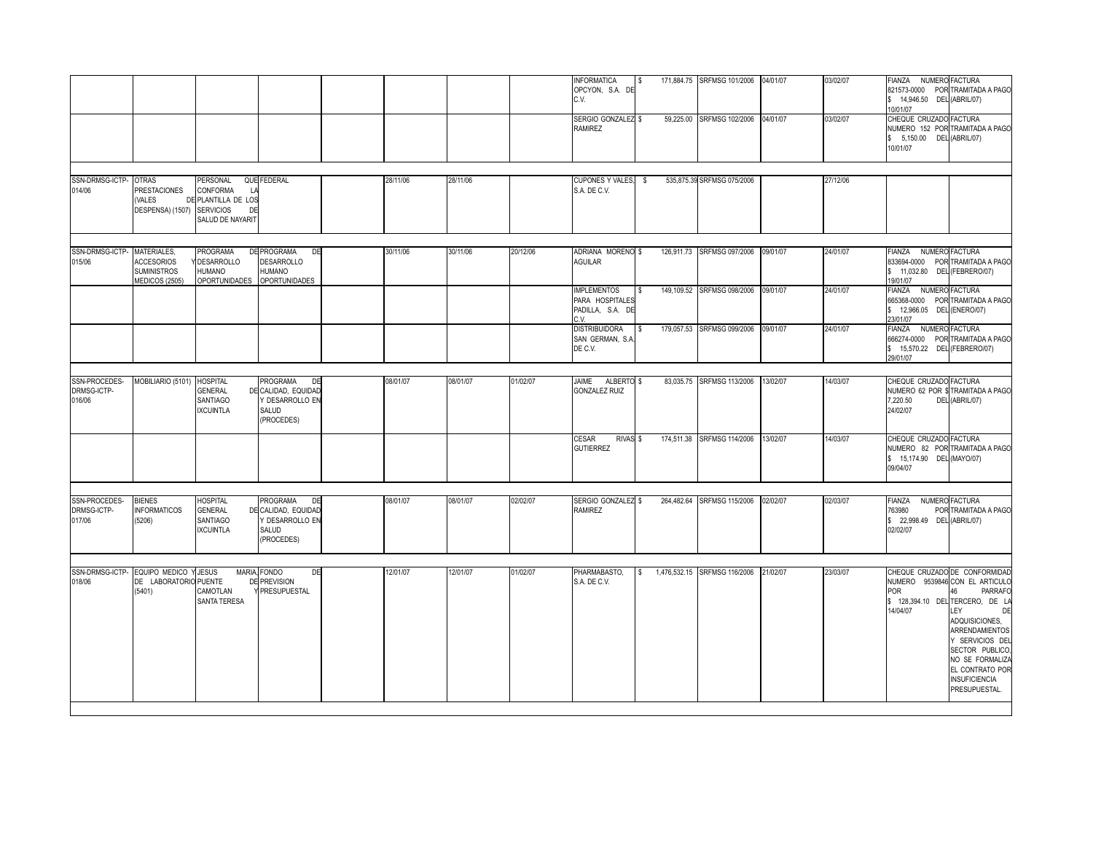|                                                 |                                                           |                                                                                                      |                                                                                 |          |          |          | <b>INFORMATICA</b><br>OPCYON, S.A. DE<br>C.V.                       | <b>S</b>   | 171,884.75 SRFMSG 101/2006 04/01/07 |          | 03/02/07 | FIANZA NUMERO FACTURA<br>\$ 14,946.50 DEL (ABRIL/07)<br>10/01/07   | 821573-0000 POR TRAMITADA A PAGO                                                                                                                                                                                                                       |
|-------------------------------------------------|-----------------------------------------------------------|------------------------------------------------------------------------------------------------------|---------------------------------------------------------------------------------|----------|----------|----------|---------------------------------------------------------------------|------------|-------------------------------------|----------|----------|--------------------------------------------------------------------|--------------------------------------------------------------------------------------------------------------------------------------------------------------------------------------------------------------------------------------------------------|
|                                                 |                                                           |                                                                                                      |                                                                                 |          |          |          | SERGIO GONZALEZ <sup>\$</sup><br>RAMIREZ                            |            | 59,225.00 SRFMSG 102/2006 04/01/07  |          | 03/02/07 | CHEQUE CRUZADO FACTURA<br>\$ 5,150.00 DEL (ABRIL/07)<br>10/01/07   | NUMERO 152 POR TRAMITADA A PAGO                                                                                                                                                                                                                        |
|                                                 |                                                           |                                                                                                      |                                                                                 |          |          |          |                                                                     |            |                                     |          |          |                                                                    |                                                                                                                                                                                                                                                        |
| SSN-DRMSG-ICTP-OTRAS<br>014/06                  | <b>PRESTACIONES</b><br>VALES<br>DESPENSA) (1507)          | PERSONAL<br>CONFORMA<br>$\perp$<br>DE PLANTILLA DE LOS<br><b>SERVICIOS</b><br>DE<br>SALUD DE NAYARIT | QUE FEDERAL                                                                     | 28/11/06 | 28/11/06 |          | CUPONES Y VALES,<br>S.A. DE C.V.                                    | s.         | 535,875.39 SRFMSG 075/2006          |          | 27/12/06 |                                                                    |                                                                                                                                                                                                                                                        |
|                                                 |                                                           |                                                                                                      |                                                                                 |          |          |          |                                                                     |            |                                     |          |          |                                                                    |                                                                                                                                                                                                                                                        |
| SSN-DRMSG-ICTP- MATERIALES,<br>015/06           | <b>ACCESORIOS</b><br><b>SUMINISTROS</b><br>MEDICOS (2505) | PROGRAMA<br><b>DESARROLLO</b><br>HUMANO<br><b>OPORTUNIDADES</b>                                      | DE PROGRAMA<br>DE<br><b>DESARROLLO</b><br>HUMANO<br><b>OPORTUNIDADES</b>        | 30/11/06 | 30/11/06 | 20/12/06 | ADRIANA MORENO \$<br><b>AGUILAR</b>                                 |            | 126,911.73 SRFMSG 097/2006 09/01/07 |          | 24/01/07 | FIANZA NUMERO FACTURA<br>\$ 11,032.80 DEL (FEBRERO/07)<br>19/01/07 | 833694-0000 POR TRAMITADA A PAGO                                                                                                                                                                                                                       |
|                                                 |                                                           |                                                                                                      |                                                                                 |          |          |          | <b>IMPLEMENTOS</b><br>PARA HOSPITALES<br>PADILLA, S.A. DE<br>$\sim$ | l S        | 149,109.52 SRFMSG 098/2006 09/01/07 |          | 24/01/07 | FIANZA NUMERO FACTURA<br>\$ 12,966.05 DEL (ENERO/07)<br>23/01/07   | 665368-0000 POR TRAMITADA A PAGO                                                                                                                                                                                                                       |
|                                                 |                                                           |                                                                                                      |                                                                                 |          |          |          | <b>DISTRIBUIDORA</b><br>SAN GERMAN, S.A.<br>DE C.V.                 | $\sqrt{3}$ | 179,057.53 SRFMSG 099/2006          | 09/01/07 | 24/01/07 | FIANZA NUMERO FACTURA<br>\$ 15,570.22 DEL (FEBRERO/07)<br>29/01/07 | 666274-0000 POR TRAMITADA A PAGO                                                                                                                                                                                                                       |
|                                                 |                                                           |                                                                                                      |                                                                                 |          |          |          |                                                                     |            |                                     |          |          |                                                                    |                                                                                                                                                                                                                                                        |
| SSN-PROCEDES-<br>DRMSG-ICTP-<br>016/06          | MOBILIARIO (5101) HOSPITAL                                | <b>GENERAL</b><br>SANTIAGO<br><b>IXCUINTLA</b>                                                       | PROGRAMA<br>DE<br>DE CALIDAD, EQUIDAD<br>Y DESARROLLO EN<br>SALUD<br>(PROCEDES) | 08/01/07 | 08/01/07 | 01/02/07 | JAIME<br>ALBERTO \$<br><b>GONZALEZ RUIZ</b>                         |            | 83,035.75 SRFMSG 113/2006           | 13/02/07 | 14/03/07 | CHEQUE CRUZADO FACTURA<br>7,220.50<br>24/02/07                     | NUMERO 62 POR \$TRAMITADA A PAGO<br>DEL (ABRIL/07)                                                                                                                                                                                                     |
|                                                 |                                                           |                                                                                                      |                                                                                 |          |          |          | RIVAS <sub>\$</sub><br>CESAR<br><b>GUTIERREZ</b>                    |            | 174,511.38 SRFMSG 114/2006 13/02/07 |          | 14/03/07 | CHEQUE CRUZADO FACTURA<br>\$ 15,174.90 DEL (MAYO/07)<br>09/04/07   | NUMERO 82 POR TRAMITADA A PAGO                                                                                                                                                                                                                         |
|                                                 |                                                           |                                                                                                      |                                                                                 |          |          |          |                                                                     |            |                                     |          |          |                                                                    |                                                                                                                                                                                                                                                        |
| SSN-PROCEDES-<br>DRMSG-ICTP-<br>017/06          | <b>BIENES</b><br><b>INFORMATICOS</b><br>(5206)            | <b>HOSPITAL</b><br><b>GENERAL</b><br>SANTIAGO<br><b>IXCUINTLA</b>                                    | PROGRAMA<br>DE<br>DE CALIDAD, EQUIDAD<br>Y DESARROLLO EN<br>SALUD<br>(PROCEDES) | 08/01/07 | 08/01/07 | 02/02/07 | SERGIO GONZALEZ <sup>\$</sup><br>RAMIREZ                            |            | 264,482.64 SRFMSG 115/2006          | 02/02/07 | 02/03/07 | FIANZA<br>763980<br>\$ 22,998.49 DEL (ABRIL/07)<br>02/02/07        | NUMERO FACTURA<br>POR TRAMITADA A PAGO                                                                                                                                                                                                                 |
|                                                 |                                                           |                                                                                                      |                                                                                 |          |          |          |                                                                     |            |                                     |          |          |                                                                    |                                                                                                                                                                                                                                                        |
| SSN-DRMSG-ICTP- EQUIPO MEDICO Y JESUS<br>018/06 | DE LABORATORIO PUENTE<br>(5401)                           | CAMOTLAN<br><b>SANTA TERESA</b>                                                                      | MARIA, FONDO<br>DE<br>DE PREVISION<br><b>PRESUPUESTAL</b>                       | 12/01/07 | 12/01/07 | 01/02/07 | PHARMABASTO,<br>S.A. DE C.V.                                        |            | 1,476,532.15 SRFMSG 116/2006        | 21/02/07 | 23/03/07 | NUMERO 9539846 CON EL ARTICULO<br><b>POR</b><br>14/04/07           | CHEQUE CRUZADO DE CONFORMIDAD<br>PARRAFC<br>46<br>\$ 128,394.10 DEL TERCERO, DE LA<br>LEY<br>DE<br>ADQUISICIONES,<br>ARRENDAMIENTOS<br>Y SERVICIOS DEL<br>SECTOR PUBLICO<br>NO SE FORMALIZA<br>EL CONTRATO POR<br><b>INSUFICIENCIA</b><br>PRESUPUESTAL |
|                                                 |                                                           |                                                                                                      |                                                                                 |          |          |          |                                                                     |            |                                     |          |          |                                                                    |                                                                                                                                                                                                                                                        |